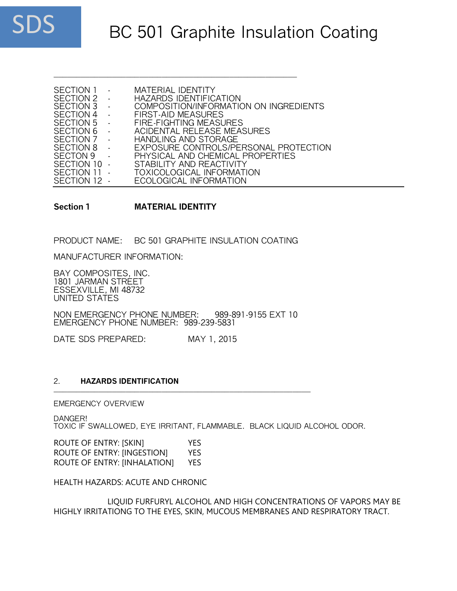

| SECTION 1               |        | <b>MATERIAL IDENTITY</b>               |
|-------------------------|--------|----------------------------------------|
| SECTION 2               |        | <b>HAZARDS IDENTIFICATION</b>          |
| SECTION 3               |        | COMPOSITION/INFORMATION ON INGREDIENTS |
| SECTION 4               | $\sim$ | FIRST-AID MEASURES                     |
| SECTION 5<br>$\sim 100$ |        | FIRE-FIGHTING MEASURES                 |
| SECTION 6               |        | ACIDENTAL RELEASE MEASURES             |
| SECTION 7               |        | HANDLING AND STORAGE                   |
| SECTION 8               |        | EXPOSURE CONTROLS/PERSONAL PROTECTION  |
| <b>SECTON 9</b>         |        | PHYSICAL AND CHEMICAL PROPERTIES       |
| SECTION 10 -            |        | STABILITY AND REACTIVITY               |
| SECTION 11              |        | <b>TOXICOLOGICAL INFORMATION</b>       |
| SECTION 12 -            |        | ECOLOGICAL INFORMATION                 |

\_\_\_\_\_\_\_\_\_\_\_\_\_\_\_\_\_\_\_\_\_\_\_\_\_\_\_\_\_\_\_\_\_\_\_\_\_\_\_\_\_\_\_\_\_\_\_\_\_\_\_\_\_\_

**Section 1 MATERIAL IDENTITY**

PRODUCT NAME: BC 501 GRAPHITE INSULATION COATING

MANUFACTURER INFORMATION:

BAY COMPOSITES, INC. 1801 JARMAN STREET ESSEXVILLE, MI 48732 UNITED STATES

NON EMERGENCY PHONE NUMBER: 989-891-9155 EXT 10 EMERGENCY PHONE NUMBER: 989-239-5831

DATE SDS PREPARED: MAY 1, 2015

#### 2. **HAZARDS IDENTIFICATION** \_\_\_\_\_\_\_\_\_\_\_\_\_\_\_\_\_\_\_\_\_\_\_\_\_\_\_\_\_\_\_\_\_\_\_\_\_\_\_\_\_\_\_\_\_\_\_\_\_\_\_\_\_\_\_\_\_

EMERGENCY OVERVIEW

DANGER!

TOXIC IF SWALLOWED, EYE IRRITANT, FLAMMABLE. BLACK LIQUID ALCOHOL ODOR.

ROUTE OF ENTRY: [SKIN] YES ROUTE OF ENTRY: [INGESTION] YES ROUTE OF ENTRY: [INHALATION] YES

HEALTH HAZARDS: ACUTE AND CHRONIC

LIQUID FURFURYL ALCOHOL AND HIGH CONCENTRATIONS OF VAPORS MAY BE HIGHLY IRRITATIONG TO THE EYES, SKIN, MUCOUS MEMBRANES AND RESPIRATORY TRACT.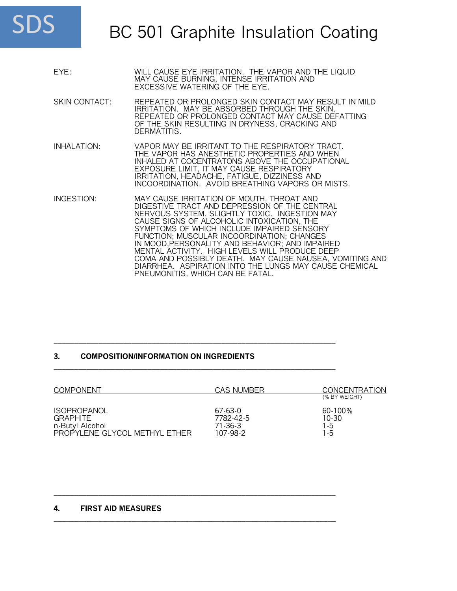

| EYE:                 | WILL CAUSE EYE IRRITATION. THE VAPOR AND THE LIQUID<br>MAY CAUSE BURNING, INTENSE IRRITATION AND<br>EXCESSIVE WATERING OF THE EYE.                                                                                                                                                                                                                                                                                                                                                                                                                  |
|----------------------|-----------------------------------------------------------------------------------------------------------------------------------------------------------------------------------------------------------------------------------------------------------------------------------------------------------------------------------------------------------------------------------------------------------------------------------------------------------------------------------------------------------------------------------------------------|
| <b>SKIN CONTACT:</b> | REPEATED OR PROLONGED SKIN CONTACT MAY RESULT IN MILD<br>IRRITATION. MAY BE ABSORBED THROUGH THE SKIN.<br>REPEATED OR PROLONGED CONTACT MAY CAUSE DEFATTING<br>OF THE SKIN RESULTING IN DRYNESS, CRACKING AND<br>DERMATITIS.                                                                                                                                                                                                                                                                                                                        |
| INHALATION:          | VAPOR MAY BE IRRITANT TO THE RESPIRATORY TRACT.<br>THE VAPOR HAS ANESTHETIC PROPERTIES AND WHEN<br>INHALED AT COCENTRATONS ABOVE THE OCCUPATIONAL<br>EXPOSURE LIMIT, IT MAY CAUSE RESPIRATORY<br>IRRITATION, HEADACHE, FATIGUE, DIZZINESS AND<br>INCOORDINATION. AVOID BREATHING VAPORS OR MISTS.                                                                                                                                                                                                                                                   |
| INGESTION:           | MAY CAUSE IRRITATION OF MOUTH, THROAT AND<br>DIGESTIVE TRACT AND DEPRESSION OF THE CENTRAL<br>NERVOUS SYSTEM. SLIGHTLY TOXIC. INGESTION MAY<br>CAUSE SIGNS OF ALCOHOLIC INTOXICATION, THE<br>SYMPTOMS OF WHICH INCLUDE IMPAIRED SENSORY<br>FUNCTION; MUSCULAR INCOORDINATION; CHANGES<br>IN MOOD, PERSONALITY AND BEHAVIOR; AND IMPAIRED<br>MENTAL ACTIVITY. HIGH LEVELS WILL PRODUCE DEEP<br>COMA AND POSSIBLY DEATH. MAY CAUSE NAUSEA, VOMITING AND<br>DIARRHEA. ASPIRATION INTO THE LUNGS MAY CAUSE CHEMICAL<br>PNEUMONITIS, WHICH CAN BE FATAL. |

### **3. COMPOSITION/INFORMATION ON INGREDIENTS**

| <b>COMPONENT</b>              | CAS NUMBER | <b>CONCENTRATION</b><br>(% BY WEIGHT) |
|-------------------------------|------------|---------------------------------------|
| <b>ISOPROPANOL</b>            | 67-63-0    | 60-100%                               |
| <b>GRAPHITE</b>               | 7782-42-5  | 10-30                                 |
| n-Butyl Alcohol               | 71-36-3    | 1-5                                   |
| PROPYLENE GLYCOL METHYL ETHER | 107-98-2   | 1-5                                   |

\_\_\_\_\_\_\_\_\_\_\_\_\_\_\_\_\_\_\_\_\_\_\_\_\_\_\_\_\_\_\_\_\_\_\_\_\_\_\_\_\_\_\_\_\_\_\_\_\_\_\_\_\_\_\_\_\_\_\_\_\_\_\_\_\_\_\_\_\_

\_\_\_\_\_\_\_\_\_\_\_\_\_\_\_\_\_\_\_\_\_\_\_\_\_\_\_\_\_\_\_\_\_\_\_\_\_\_\_\_\_\_\_\_\_\_\_\_\_\_\_\_\_\_\_\_\_\_\_\_\_\_\_\_\_\_\_\_\_

\_\_\_\_\_\_\_\_\_\_\_\_\_\_\_\_\_\_\_\_\_\_\_\_\_\_\_\_\_\_\_\_\_\_\_\_\_\_\_\_\_\_\_\_\_\_\_\_\_\_\_\_\_\_\_\_\_\_\_\_\_\_\_\_\_\_\_\_\_

\_\_\_\_\_\_\_\_\_\_\_\_\_\_\_\_\_\_\_\_\_\_\_\_\_\_\_\_\_\_\_\_\_\_\_\_\_\_\_\_\_\_\_\_\_\_\_\_\_\_\_\_\_\_\_\_\_\_\_\_\_\_\_\_\_\_\_\_\_

### **4. FIRST AID MEASURES**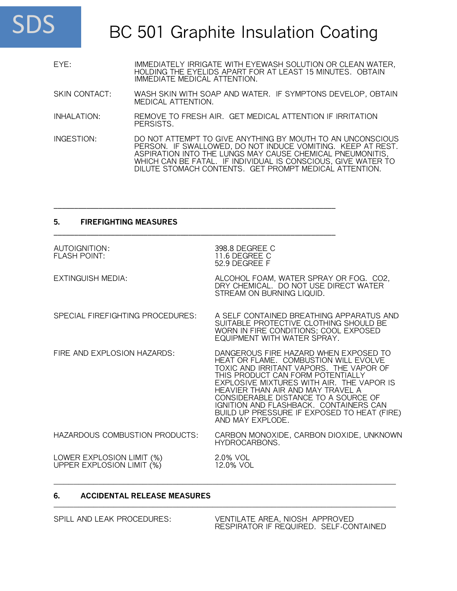

| EYE: | IMMEDIATELY IRRIGATE WITH EYEWASH SOLUTION OR CLEAN WATER, |
|------|------------------------------------------------------------|
|      | HOLDING THE EYELIDS APART FOR AT LEAST 15 MINUTES. OBTAIN  |
|      | IMMEDIATE MEDICAL ATTENTION.                               |

SKIN CONTACT: WASH SKIN WITH SOAP AND WATER. IF SYMPTONS DEVELOP, OBTAIN MEDICAL ATTENTION.

INHALATION: REMOVE TO FRESH AIR. GET MEDICAL ATTENTION IF IRRITATION PERSISTS.

\_\_\_\_\_\_\_\_\_\_\_\_\_\_\_\_\_\_\_\_\_\_\_\_\_\_\_\_\_\_\_\_\_\_\_\_\_\_\_\_\_\_\_\_\_\_\_\_\_\_\_\_\_\_\_\_\_\_\_\_\_\_\_\_\_\_\_\_\_

\_\_\_\_\_\_\_\_\_\_\_\_\_\_\_\_\_\_\_\_\_\_\_\_\_\_\_\_\_\_\_\_\_\_\_\_\_\_\_\_\_\_\_\_\_\_\_\_\_\_\_\_\_\_\_\_\_\_\_\_\_\_\_\_\_\_\_\_\_

INGESTION: DO NOT ATTEMPT TO GIVE ANYTHING BY MOUTH TO AN UNCONSCIOUS PERSON. IF SWALLOWED, DO NOT INDUCE VOMITING. KEEP AT REST. ASPIRATION INTO THE LUNGS MAY CAUSE CHEMICAL PNEUMONITIS, WHICH CAN BE FATAL. IF INDIVIDUAL IS CONSCIOUS, GIVE WATER TO DILUTE STOMACH CONTENTS. GET PROMPT MEDICAL ATTENTION.

### **5. FIREFIGHTING MEASURES**

| AUTOIGNITION:<br><b>FLASH POINT:</b>                   | 398.8 DEGREE C<br>11.6 DEGREE C<br>52.9 DEGREE F                                                                                                                                                                                                                                                                                                                                                      |
|--------------------------------------------------------|-------------------------------------------------------------------------------------------------------------------------------------------------------------------------------------------------------------------------------------------------------------------------------------------------------------------------------------------------------------------------------------------------------|
| EXTINGUISH MEDIA:                                      | ALCOHOL FOAM, WATER SPRAY OR FOG. CO2,<br>DRY CHEMICAL. DO NOT USE DIRECT WATER<br>STREAM ON BURNING LIQUID.                                                                                                                                                                                                                                                                                          |
| SPECIAL FIREFIGHTING PROCEDURES:                       | A SELF CONTAINED BREATHING APPARATUS AND<br>SUITABLE PROTECTIVE CLOTHING SHOULD BE<br>WORN IN FIRE CONDITIONS; COOL EXPOSED<br>EQUIPMENT WITH WATER SPRAY.                                                                                                                                                                                                                                            |
| FIRE AND EXPLOSION HAZARDS:                            | DANGEROUS FIRE HAZARD WHEN EXPOSED TO<br>HEAT OR FLAME. COMBUSTION WILL EVOLVE<br>TOXIC AND IRRITANT VAPORS. THE VAPOR OF<br>THIS PRODUCT CAN FORM POTENTIALLY<br>EXPLOSIVE MIXTURES WITH AIR. THE VAPOR IS<br>HEAVIER THAN AIR AND MAY TRAVEL A<br>CONSIDERABLE DISTANCE TO A SOURCE OF<br>IGNITION AND FLASHBACK. CONTAINERS CAN<br>BUILD UP PRESSURE IF EXPOSED TO HEAT (FIRE)<br>AND MAY EXPLODE. |
| HAZARDOUS COMBUSTION PRODUCTS:                         | CARBON MONOXIDE, CARBON DIOXIDE, UNKNOWN<br>HYDROCARBONS.                                                                                                                                                                                                                                                                                                                                             |
| LOWER EXPLOSION LIMIT (%)<br>UPPER EXPLOSION LIMIT (%) | 2.0% VOL<br>12.0% VOL                                                                                                                                                                                                                                                                                                                                                                                 |

#### **6. ACCIDENTAL RELEASE MEASURES** \_\_\_\_\_\_\_\_\_\_\_\_\_\_\_\_\_\_\_\_\_\_\_\_\_\_\_\_\_\_\_\_\_\_\_\_\_\_\_\_\_\_\_\_\_\_\_\_\_\_\_\_\_\_\_\_\_\_\_\_\_\_\_\_\_\_\_\_\_

SPILL AND LEAK PROCEDURES: VENTILATE AREA, NIOSH APPROVED RESPIRATOR IF REQUIRED. SELF-CONTAINED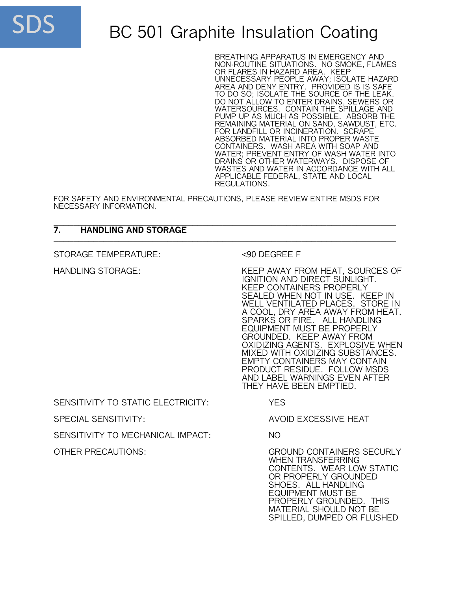

BREATHING APPARATUS IN EMERGENCY AND NON-ROUTINE SITUATIONS. NO SMOKE, FLAMES OR FLARES IN HAZARD AREA. KEEP UNNECESSARY PEOPLE AWAY; ISOLATE HAZARD AREA AND DENY ENTRY. PROVIDED IS IS SAFE TO DO SO; ISOLATE THE SOURCE OF THE LEAK. DO NOT ALLOW TO ENTER DRAINS, SEWERS OR WATERSOURCES. CONTAIN THE SPILLAGE AND PUMP UP AS MUCH AS POSSIBLE. ABSORB THE REMAINING MATERIAL ON SAND, SAWDUST, ETC. FOR LANDFILL OR INCINERATION. SCRAPE ABSORBED MATERIAL INTO PROPER WASTE CONTAINERS. WASH AREA WITH SOAP AND WATER; PREVENT ENTRY OF WASH WATER INTO DRAINS OR OTHER WATERWAYS. DISPOSE OF WASTES AND WATER IN ACCORDANCE WITH ALL APPLICABLE FEDERAL, STATE AND LOCAL REGULATIONS.

FOR SAFETY AND ENVIRONMENTAL PRECAUTIONS, PLEASE REVIEW ENTIRE MSDS FOR NECESSARY INFORMATION.

#### \_\_\_\_\_\_\_\_\_\_\_\_\_\_\_\_\_\_\_\_\_\_\_\_\_\_\_\_\_\_\_\_\_\_\_\_\_\_\_\_\_\_\_\_\_\_\_\_\_\_\_\_\_\_\_\_\_\_\_\_\_\_\_\_\_\_\_\_\_ **7. HANDLING AND STORAGE** \_\_\_\_\_\_\_\_\_\_\_\_\_\_\_\_\_\_\_\_\_\_\_\_\_\_\_\_\_\_\_\_\_\_\_\_\_\_\_\_\_\_\_\_\_\_\_\_\_\_\_\_\_\_\_\_\_\_\_\_\_\_\_\_\_\_\_\_\_

STORAGE TEMPERATURE: <90 DEGREE F

HANDLING STORAGE: KEEP AWAY FROM HEAT, SOURCES OF IGNITION AND DIRECT SUNLIGHT. KEEP CONTAINERS PROPERLY SEALED WHEN NOT IN USE. KEEP IN WELL VENTILATED PLACES. STORE IN A COOL, DRY AREA AWAY FROM HEAT, SPARKS OR FIRE. ALL HANDLING EQUIPMENT MUST BE PROPERLY GROUNDED. KEEP AWAY FROM OXIDIZING AGENTS. EXPLOSIVE WHEN MIXED WITH OXIDIZING SUBSTANCES. EMPTY CONTAINERS MAY CONTAIN PRODUCT RESIDUE. FOLLOW MSDS AND LABEL WARNINGS EVEN AFTER THEY HAVE BEEN EMPTIED.

SENSITIVITY TO STATIC ELECTRICITY: YES

SENSITIVITY TO MECHANICAL IMPACT: NO

SPECIAL SENSITIVITY: AVOID EXCESSIVE HEAT

OTHER PRECAUTIONS: GROUND CONTAINERS SECURLY WHEN TRANSFERRING CONTENTS. WEAR LOW STATIC OR PROPERLY GROUNDED SHOES. ALL HANDLING EQUIPMENT MUST BE PROPERLY GROUNDED. THIS MATERIAL SHOULD NOT BE SPILLED, DUMPED OR FLUSHED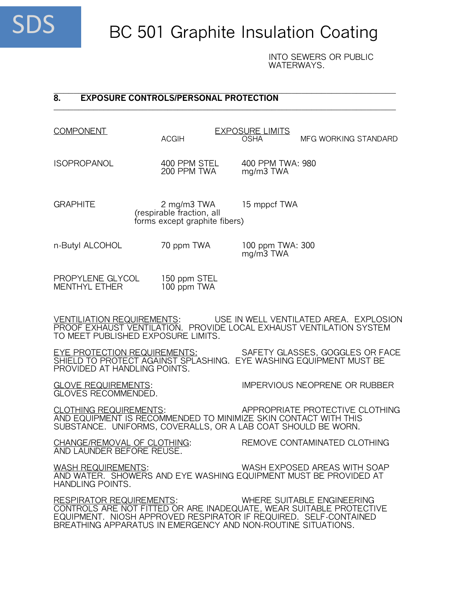

INTO SEWERS OR PUBLIC WATERWAYS.

#### \_\_\_\_\_\_\_\_\_\_\_\_\_\_\_\_\_\_\_\_\_\_\_\_\_\_\_\_\_\_\_\_\_\_\_\_\_\_\_\_\_\_\_\_\_\_\_\_\_\_\_\_\_\_\_\_\_\_\_\_\_\_\_\_\_\_\_\_\_ **8. EXPOSURE CONTROLS/PERSONAL PROTECTION** \_\_\_\_\_\_\_\_\_\_\_\_\_\_\_\_\_\_\_\_\_\_\_\_\_\_\_\_\_\_\_\_\_\_\_\_\_\_\_\_\_\_\_\_\_\_\_\_\_\_\_\_\_\_\_\_\_\_\_\_\_\_\_\_\_\_\_\_\_

| <b>COMPONENT</b> |  |
|------------------|--|

EXPOSURE LIMITS<br>ACGIH OSHA

MFG WORKING STANDARD

200 PPM TWA

ISOPROPANOL 400 PPM STEL 400 PPM TWA: 980<br>200 PPM TWA mg/m3 TWA

GRAPHITE 2 mg/m3 TWA 15 mppcf TWA (respirable fraction, all forms except graphite fibers)

n-Butyl ALCOHOL 70 ppm TWA 100 ppm TWA: 300

mg/m3 TWA

PROPYLENE GLYCOL 150 ppm STEL<br>MENTHYL ETHER 100 ppm TWA MENTHYL ETHER

VENTILIATION REQUIREMENTS: USE IN WELL VENTILATED AREA. EXPLOSION PROOF EXHAUST VENTILATION. PROVIDE LOCAL EXHAUST VENTILATION SYSTEM TO MEET PUBLISHED EXPOSURE LIMITS.

EYE PROTECTION REQUIREMENTS: SAFETY GLASSES, GOGGLES OR FACE SHIELD TO PROTECT AGAINST SPLASHING. EYE WASHING EQUIPMENT MUST BE PROVIDED AT HANDLING POINTS.

GLOVES RECOMMENDED.

GLOVE REQUIREMENTS: IMPERVIOUS NEOPRENE OR RUBBER

CLOTHING REQUIREMENTS: APPROPRIATE PROTECTIVE CLOTHING AND EQUIPMENT IS RECOMMENDED TO MINIMIZE SKIN CONTACT WITH THIS SUBSTANCE. UNIFORMS, COVERALLS, OR A LAB COAT SHOULD BE WORN.

AND LAUNDER BEFORE REUSE.

CHANGE/REMOVAL OF CLOTHING: REMOVE CONTAMINATED CLOTHING

WASH REQUIREMENTS: WASH EXPOSED AREAS WITH SOAP AND WATER. SHOWERS AND EYE WASHING EQUIPMENT MUST BE PROVIDED AT HANDLING POINTS.

RESPIRATOR REQUIREMENTS: WHERE SUITABLE ENGINEERING CONTROLS ARE NOT FITTED OR ARE INADEQUATE, WEAR SUITABLE PROTECTIVE EQUIPMENT. NIOSH APPROVED RESPIRATOR IF REQUIRED. SELF-CONTAINED BREATHING APPARATUS IN EMERGENCY AND NON-ROUTINE SITUATIONS.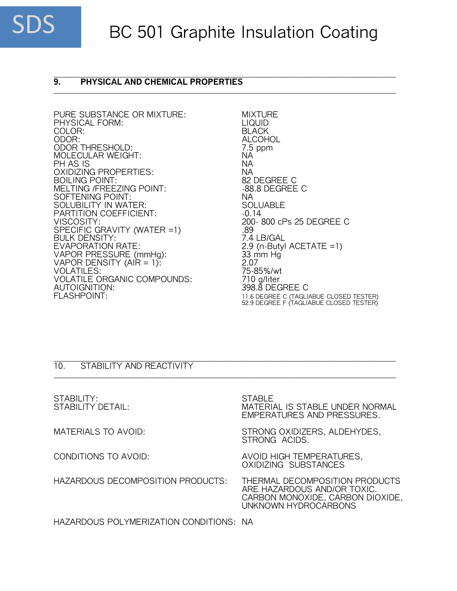

#### \_\_\_\_\_\_\_\_\_\_\_\_\_\_\_\_\_\_\_\_\_\_\_\_\_\_\_\_\_\_\_\_\_\_\_\_\_\_\_\_\_\_\_\_\_\_\_\_\_\_\_\_\_\_\_\_\_\_\_\_\_\_\_\_\_\_\_\_\_ **9. PHYSICAL AND CHEMICAL PROPERTIES** \_\_\_\_\_\_\_\_\_\_\_\_\_\_\_\_\_\_\_\_\_\_\_\_\_\_\_\_\_\_\_\_\_\_\_\_\_\_\_\_\_\_\_\_\_\_\_\_\_\_\_\_\_\_\_\_\_\_\_\_\_\_\_\_\_\_\_\_\_

PURE SUBSTANCE OR MIXTURE: MIXTURE PHYSICAL FORM: LIQUID PHYSICAL FORM: LIQUID<br>COLOR: BLACK COLOR:<br>ODOR: ODOR THRESHOLD: 7.5 ppm MOLECULAR WEIGHT: NA PH AS IS NA OXIDIZING PROPERTIES:<br>BOILING POINT: NASA SECURITY SAN BOILING POINT: BOILING POINT:<br>MELTING /FREEZING POINT: 88.8 DEGREE C MELTING /FREEZING POINT: SOFTENING POINT: NA SOLUBILITY IN WATER: SOLU<br>PARTITION COEFFICIENT: 1999-0-0-14 PARTITION COEFFICIENT:<br>VISCOSITY: SPECIFIC GRAVITY (WATER =1) .89 BULK DENSITY:<br>EVAPORATION RATE: VAPOR PRESSURE (mmHg): 33 m<br>VAPOR DENSITY (AIR = 1): 3.07 VAPOR DENSITY  $(AIR = 1)$ :  $2.07$ <br>VOLATILES: 75-85%/wt VOLATILES: 75-85%/wt<br>VOLATILE ORGANIC COMPOUNDS: 710 g/liter VOLATILE ORGANIC COMPOUNDS:<br>AUTOIGNITION: AUTOIGNITION: 398.8 DEGREE C

ALCOHOL<br>7.5 ppm 200-800 cPs 25 DEGREE C<br>.89  $2.9$  (n-Butyl ACETATE =1)<br>33 mm Hg FLASHPOINT: 11.6 DEGREE C (TAGLIABUE CLOSED TESTER) 52.9 DEGREE F (TAGLIABUE CLOSED TESTER)

#### \_\_\_\_\_\_\_\_\_\_\_\_\_\_\_\_\_\_\_\_\_\_\_\_\_\_\_\_\_\_\_\_\_\_\_\_\_\_\_\_\_\_\_\_\_\_\_\_\_\_\_\_\_\_\_\_\_\_\_\_\_\_\_\_\_\_\_\_\_ 10. STABILITY AND REACTIVITY

STABILITY: STABLE<br>STABILITY DETAIL: MATERI/ MATERIAL IS STABLE UNDER NORMAL EMPERATURES AND PRESSURES. MATERIALS TO AVOID: STRONG OXIDIZERS, ALDEHYDES, STRONG ACIDS. CONDITIONS TO AVOID: AVOID HIGH TEMPERATURES, OXIDIZING SUBSTANCES HAZARDOUS DECOMPOSITION PRODUCTS: THERMAL DECOMPOSITION PRODUCTS ARE HAZARDOUS AND/OR TOXIC. CARBON MONOXIDE, CARBON DIOXIDE, UNKNOWN HYDROCARBONS

\_\_\_\_\_\_\_\_\_\_\_\_\_\_\_\_\_\_\_\_\_\_\_\_\_\_\_\_\_\_\_\_\_\_\_\_\_\_\_\_\_\_\_\_\_\_\_\_\_\_\_\_\_\_\_\_\_\_\_\_\_\_\_\_\_\_\_\_\_

HAZARDOUS POLYMERIZATION CONDITIONS: NA